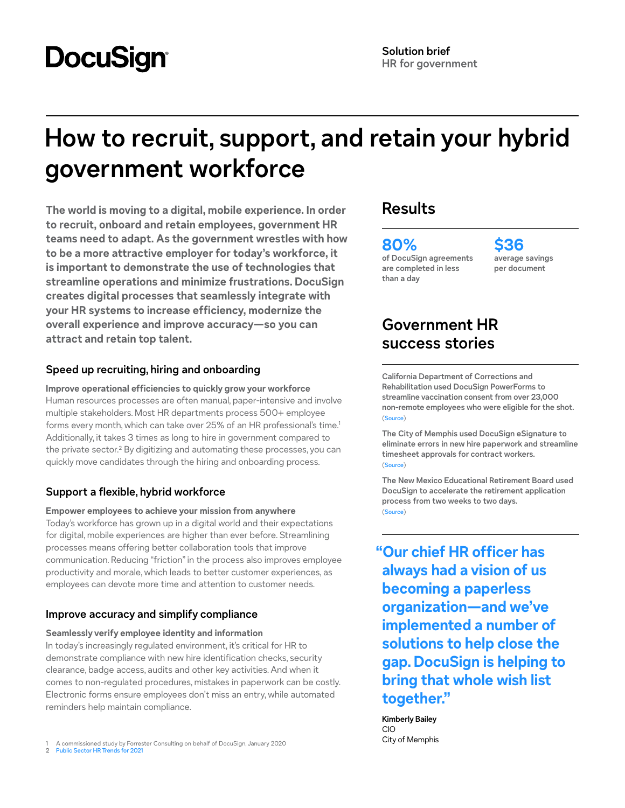# **DocuSign**

## **How to recruit, support, and retain your hybrid government workforce**

**The world is moving to a digital, mobile experience. In order to recruit, onboard and retain employees, government HR teams need to adapt. As the government wrestles with how to be a more attractive employer for today's workforce, it is important to demonstrate the use of technologies that streamline operations and minimize frustrations. DocuSign creates digital processes that seamlessly integrate with your HR systems to increase efficiency, modernize the overall experience and improve accuracy—so you can attract and retain top talent.**

#### **Speed up recruiting, hiring and onboarding**

**Improve operational efficiencies to quickly grow your workforce** Human resources processes are often manual, paper-intensive and involve multiple stakeholders. Most HR departments process 500+ employee forms every month, which can take over 25% of an HR professional's time.<sup>1</sup> Additionally, it takes 3 times as long to hire in government compared to the private sector.<sup>2</sup> By digitizing and automating these processes, you can quickly move candidates through the hiring and onboarding process.

### **Support a flexible, hybrid workforce**

**Empower employees to achieve your mission from anywhere** Today's workforce has grown up in a digital world and their expectations for digital, mobile experiences are higher than ever before. Streamlining processes means offering better collaboration tools that improve communication. Reducing "friction" in the process also improves employee productivity and morale, which leads to better customer experiences, as employees can devote more time and attention to customer needs.

#### **Improve accuracy and simplify compliance**

#### **Seamlessly verify employee identity and information**

In today's increasingly regulated environment, it's critical for HR to demonstrate compliance with new hire identification checks, security clearance, badge access, audits and other key activities. And when it comes to non-regulated procedures, mistakes in paperwork can be costly. Electronic forms ensure employees don't miss an entry, while automated reminders help maintain compliance.

1 A commissioned study by Forrester Consulting on behalf of DocuSign, January 2020 2 [Public Sector HR Trends for 2021](https://info.neogov.com/resources/2021-trends)

## **Results**

**80% of DocuSign agreements are completed in less than a day**

**\$36 average savings per document**

## **Government HR success stories**

**California Department of Corrections and Rehabilitation used DocuSign PowerForms to streamline vaccination consent from over 23,000 non-remote employees who were eligible for the shot.**  ([Source](https://www.docusign.com/customer-stories/california-department-of-corrections-and-rehabilitation-embraces-a-paradigm-shift-with-docusign-esignature))

**The City of Memphis used DocuSign eSignature to eliminate errors in new hire paperwork and streamline timesheet approvals for contract workers.**  ([Source](https://www.docusign.com/customer-stories/memphis-keeps-business-moving-with-docusign-esignature))

**The New Mexico Educational Retirement Board used DocuSign to accelerate the retirement application process from two weeks to two days.**  ([Source](https://www.docusign.com/customer-stories/new-mexico-educational-retirement-board-keeps-pace-with-a-retirement-boom-using-docusign-esignature))

**"Our chief HR officer has always had a vision of us becoming a paperless organization—and we've implemented a number of solutions to help close the gap. DocuSign is helping to bring that whole wish list together."**

**Kimberly Bailey** CIO City of Memphis